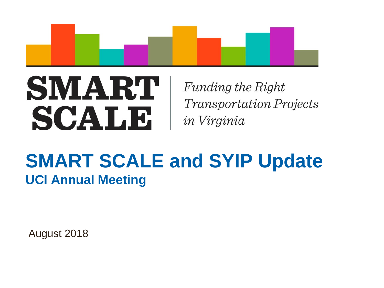

# SMART SCALB

Funding the Right **Transportation Projects** in Virginia

## **SMART SCALE and SYIP Update UCI Annual Meeting**

August 2018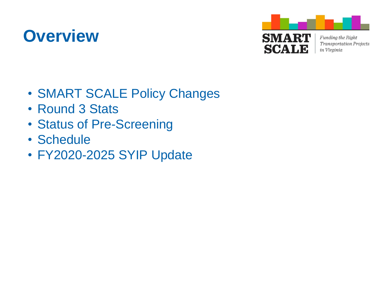## **Overview**



- SMART SCALE Policy Changes
- Round 3 Stats
- Status of Pre-Screening
- Schedule
- FY2020-2025 SYIP Update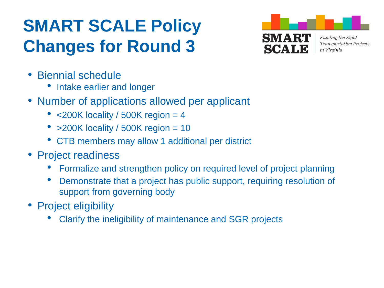# **SMART SCALE Policy Changes for Round 3**



- Biennial schedule
	- Intake earlier and longer
- Number of applications allowed per applicant
	- $<$  200K locality / 500K region = 4
	- $>200K$  locality / 500K region = 10
	- CTB members may allow 1 additional per district
- Project readiness
	- Formalize and strengthen policy on required level of project planning
	- Demonstrate that a project has public support, requiring resolution of support from governing body
- Project eligibility
	- Clarify the ineligibility of maintenance and SGR projects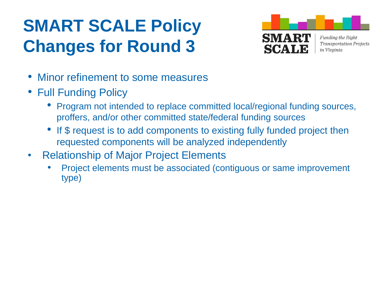# **SMART SCALE Policy Changes for Round 3**



- Minor refinement to some measures
- Full Funding Policy
	- Program not intended to replace committed local/regional funding sources, proffers, and/or other committed state/federal funding sources
	- If \$ request is to add components to existing fully funded project then requested components will be analyzed independently
- Relationship of Major Project Elements
	- Project elements must be associated (contiguous or same improvement type)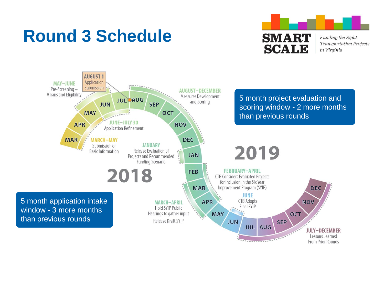## **Round 3 Schedule**





**From Prior Rounds**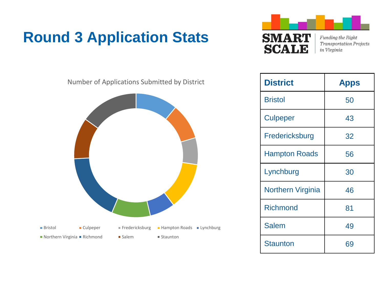### **Round 3 Application Stats**





| <b>District</b>          | <b>Apps</b> |
|--------------------------|-------------|
| <b>Bristol</b>           | 50          |
| <b>Culpeper</b>          | 43          |
| Fredericksburg           | 32          |
| <b>Hampton Roads</b>     | 56          |
| Lynchburg                | 30          |
| <b>Northern Virginia</b> | 46          |
| <b>Richmond</b>          | 81          |
| <b>Salem</b>             | 49          |
| Staunton                 | 69          |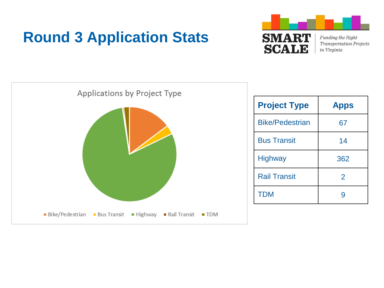### **Round 3 Application Stats**